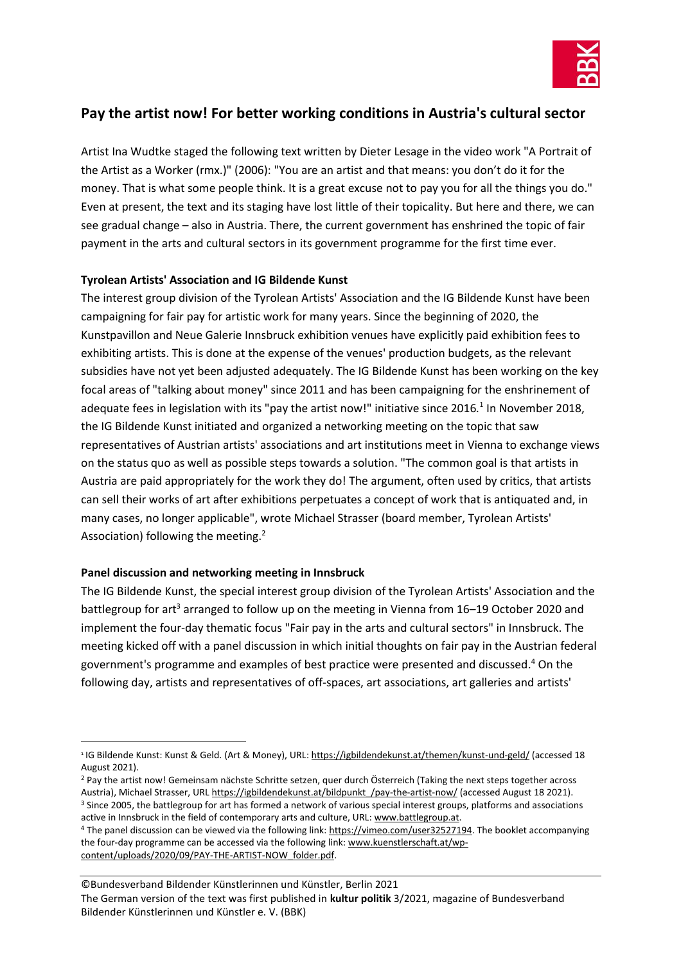

# **Pay the artist now! For better working conditions in Austria's cultural sector**

Artist Ina Wudtke staged the following text written by Dieter Lesage in the video work "A Portrait of the Artist as a Worker (rmx.)" (2006): "You are an artist and that means: you don't do it for the money. That is what some people think. It is a great excuse not to pay you for all the things you do." Even at present, the text and its staging have lost little of their topicality. But here and there, we can see gradual change – also in Austria. There, the current government has enshrined the topic of fair payment in the arts and cultural sectors in its government programme for the first time ever.

## **Tyrolean Artists' Association and IG Bildende Kunst**

The interest group division of the Tyrolean Artists' Association and the IG Bildende Kunst have been campaigning for fair pay for artistic work for many years. Since the beginning of 2020, the Kunstpavillon and Neue Galerie Innsbruck exhibition venues have explicitly paid exhibition fees to exhibiting artists. This is done at the expense of the venues' production budgets, as the relevant subsidies have not yet been adjusted adequately. The IG Bildende Kunst has been working on the key focal areas of "talking about money" since 2011 and has been campaigning for the enshrinement of adequate fees in legislation with its "pay the artist now!" initiative since 2016*.* 1 In November 2018, the IG Bildende Kunst initiated and organized a networking meeting on the topic that saw representatives of Austrian artists' associations and art institutions meet in Vienna to exchange views on the status quo as well as possible steps towards a solution. "The common goal is that artists in Austria are paid appropriately for the work they do! The argument, often used by critics, that artists can sell their works of art after exhibitions perpetuates a concept of work that is antiquated and, in many cases, no longer applicable", wrote Michael Strasser (board member, Tyrolean Artists' Association) following the meeting.<sup>2</sup>

## **Panel discussion and networking meeting in Innsbruck**

The IG Bildende Kunst, the special interest group division of the Tyrolean Artists' Association and the battlegroup for art<sup>3</sup> arranged to follow up on the meeting in Vienna from 16–19 October 2020 and implement the four-day thematic focus "Fair pay in the arts and cultural sectors" in Innsbruck. The meeting kicked off with a panel discussion in which initial thoughts on fair pay in the Austrian federal government's programme and examples of best practice were presented and discussed. <sup>4</sup> On the following day, artists and representatives of off-spaces, art associations, art galleries and artists'

<sup>&</sup>lt;sup>1</sup> IG Bildende Kunst: Kunst & Geld. (Art & Money), URL: <u>https://igbildendekunst.at/themen/kunst-und-geld/</u> (accessed 18 August 2021).

<sup>&</sup>lt;sup>2</sup> Pay the artist now! Gemeinsam nächste Schritte setzen, quer durch Österreich (Taking the next steps together across Austria), Michael Strasser, URL https://igbildendekunst.at/bildpunkt /pay-the-artist-now/ (accessed August 18 2021). <sup>3</sup> Since 2005, the battlegroup for art has formed a network of various special interest groups, platforms and associations active in Innsbruck in the field of contemporary arts and culture, URL: [www.battlegroup.at.](http://www.battlegroup.at/)

<sup>&</sup>lt;sup>4</sup> The panel discussion can be viewed via the following link: [https://vimeo.com/user32527194.](https://vimeo.com/user32527194) The booklet accompanying the four-day programme can be accessed via the following link[: www.kuenstlerschaft.at/wp](http://www.kuenstlerschaft.at/wp-content/uploads/2020/09/PAY-THE-ARTIST-NOW_folder.pdf)[content/uploads/2020/09/PAY-THE-ARTIST-NOW\\_folder.pdf.](http://www.kuenstlerschaft.at/wp-content/uploads/2020/09/PAY-THE-ARTIST-NOW_folder.pdf)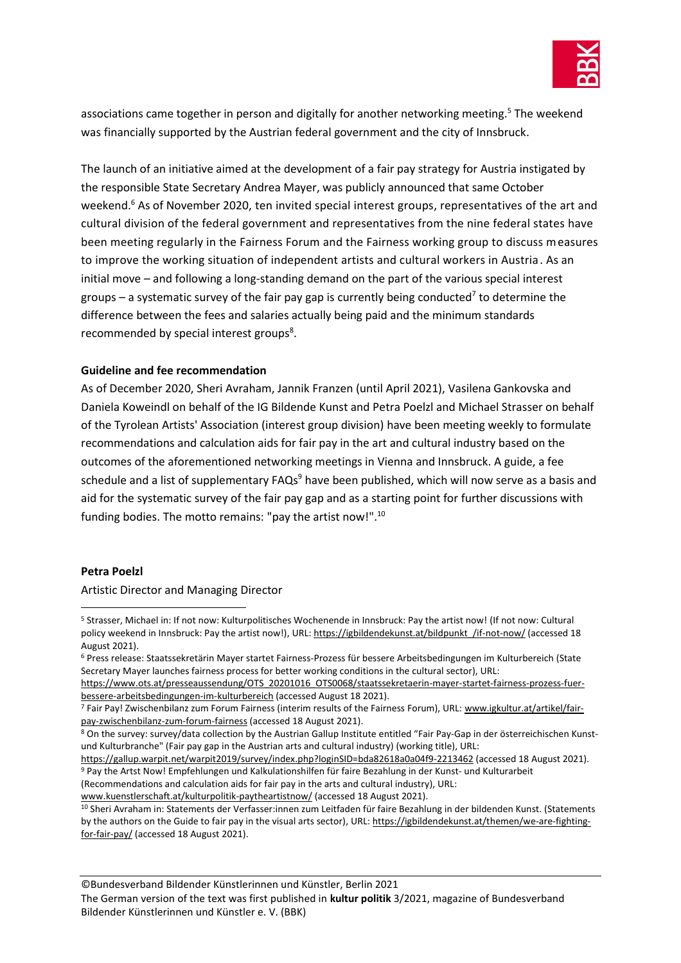

associations came together in person and digitally for another networking meeting. <sup>5</sup> The weekend was financially supported by the Austrian federal government and the city of Innsbruck.

The launch of an initiative aimed at the development of a fair pay strategy for Austria instigated by the responsible State Secretary Andrea Mayer, was publicly announced that same October weekend.<sup>6</sup> As of November 2020, ten invited special interest groups, representatives of the art and cultural division of the federal government and representatives from the nine federal states have been meeting regularly in the Fairness Forum and the Fairness working group to discuss measures to improve the working situation of independent artists and cultural workers in Austria. As an initial move – and following a long-standing demand on the part of the various special interest groups – a systematic survey of the fair pay gap is currently being conducted<sup>7</sup> to determine the difference between the fees and salaries actually being paid and the minimum standards recommended by special interest groups<sup>8</sup>.

### **Guideline and fee recommendation**

As of December 2020, Sheri Avraham, Jannik Franzen (until April 2021), Vasilena Gankovska and Daniela Koweindl on behalf of the IG Bildende Kunst and Petra Poelzl and Michael Strasser on behalf of the Tyrolean Artists' Association (interest group division) have been meeting weekly to formulate recommendations and calculation aids for fair pay in the art and cultural industry based on the outcomes of the aforementioned networking meetings in Vienna and Innsbruck. A guide, a fee schedule and a list of supplementary FAQs<sup>9</sup> have been published, which will now serve as a basis and aid for the systematic survey of the fair pay gap and as a starting point for further discussions with funding bodies. The motto remains: "pay the artist now!". 10

#### **Petra Poelzl**

Artistic Director and Managing Director

[www.kuenstlerschaft.at/kulturpolitik-paytheartistnow/](http://www.kuenstlerschaft.at/kulturpolitik-paytheartistnow/) (accessed 18 August 2021).

<sup>10</sup> Sheri Avraham in: Statements der Verfasser:innen zum Leitfaden für faire Bezahlung in der bildenden Kunst. (Statements by the authors on the Guide to fair pay in the visual arts sector), URL[: https://igbildendekunst.at/themen/we-are-fighting](https://igbildendekunst.at/themen/we-are-fighting-for-fair-pay/)[for-fair-pay/](https://igbildendekunst.at/themen/we-are-fighting-for-fair-pay/) (accessed 18 August 2021).

<sup>5</sup> Strasser, Michael in: If not now: Kulturpolitisches Wochenende in Innsbruck: Pay the artist now! (If not now: Cultural policy weekend in Innsbruck: Pay the artist now!), URL: https://igbildendekunst.at/bildpunkt /if-not-now/ (accessed 18 August 2021).

<sup>6</sup> Press release: Staatssekretärin Mayer startet Fairness-Prozess für bessere Arbeitsbedingungen im Kulturbereich (State Secretary Mayer launches fairness process for better working conditions in the cultural sector), URL:

[https://www.ots.at/presseaussendung/OTS\\_20201016\\_OTS0068/staatssekretaerin-mayer-startet-fairness-prozess-fuer](https://www.ots.at/presseaussendung/OTS_20201016_OTS0068/staatssekretaerin-mayer-startet-fairness-prozess-fuer-bessere-arbeitsbedingungen-im-kulturbereich)[bessere-arbeitsbedingungen-im-kulturbereich](https://www.ots.at/presseaussendung/OTS_20201016_OTS0068/staatssekretaerin-mayer-startet-fairness-prozess-fuer-bessere-arbeitsbedingungen-im-kulturbereich) (accessed August 18 2021).

<sup>7</sup> Fair Pay! Zwischenbilanz zum Forum Fairness (interim results of the Fairness Forum), URL: [www.igkultur.at/artikel/fair](http://www.igkultur.at/artikel/fair-pay-zwischenbilanz-zum-forum-fairness)[pay-zwischenbilanz-zum-forum-fairness](http://www.igkultur.at/artikel/fair-pay-zwischenbilanz-zum-forum-fairness) (accessed 18 August 2021).

<sup>8</sup> On the survey: survey/data collection by the Austrian Gallup Institute entitled "Fair Pay-Gap in der österreichischen Kunstund Kulturbranche" (Fair pay gap in the Austrian arts and cultural industry) (working title), URL:

<https://gallup.warpit.net/warpit2019/survey/index.php?loginSID=bda82618a0a04f9-2213462> (accessed 18 August 2021).

<sup>9</sup> Pay the Artst Now! Empfehlungen und Kalkulationshilfen für faire Bezahlung in der Kunst- und Kulturarbeit (Recommendations and calculation aids for fair pay in the arts and cultural industry), URL: